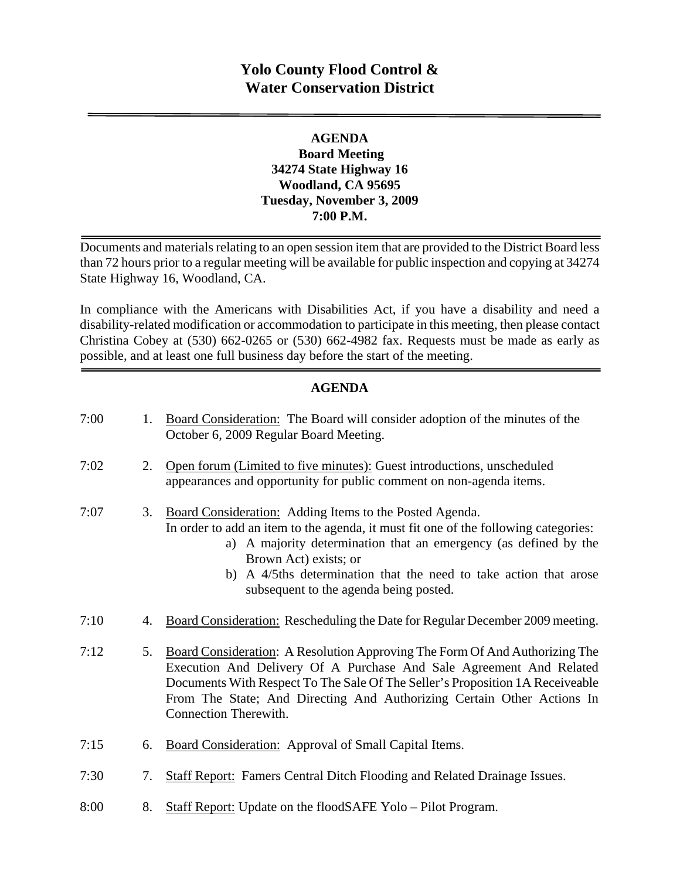## **Yolo County Flood Control & Water Conservation District**

### **AGENDA Board Meeting 34274 State Highway 16 Woodland, CA 95695 Tuesday, November 3, 2009 7:00 P.M.**

Documents and materials relating to an open session item that are provided to the District Board less than 72 hours prior to a regular meeting will be available for public inspection and copying at 34274 State Highway 16, Woodland, CA.

In compliance with the Americans with Disabilities Act, if you have a disability and need a disability-related modification or accommodation to participate in this meeting, then please contact Christina Cobey at (530) 662-0265 or (530) 662-4982 fax. Requests must be made as early as possible, and at least one full business day before the start of the meeting.

### **AGENDA**

| 7:00 | 1. | Board Consideration: The Board will consider adoption of the minutes of the<br>October 6, 2009 Regular Board Meeting.                                                                                                                                                                                                                                         |
|------|----|---------------------------------------------------------------------------------------------------------------------------------------------------------------------------------------------------------------------------------------------------------------------------------------------------------------------------------------------------------------|
| 7:02 | 2. | Open forum (Limited to five minutes): Guest introductions, unscheduled<br>appearances and opportunity for public comment on non-agenda items.                                                                                                                                                                                                                 |
| 7:07 | 3. | Board Consideration: Adding Items to the Posted Agenda.<br>In order to add an item to the agenda, it must fit one of the following categories:<br>a) A majority determination that an emergency (as defined by the<br>Brown Act) exists; or<br>A 4/5ths determination that the need to take action that arose<br>b)<br>subsequent to the agenda being posted. |
| 7:10 | 4. | Board Consideration: Rescheduling the Date for Regular December 2009 meeting.                                                                                                                                                                                                                                                                                 |
| 7:12 | 5. | <b>Board Consideration:</b> A Resolution Approving The Form Of And Authorizing The<br>Execution And Delivery Of A Purchase And Sale Agreement And Related<br>Documents With Respect To The Sale Of The Seller's Proposition 1A Receiveable<br>From The State; And Directing And Authorizing Certain Other Actions In<br>Connection Therewith.                 |
| 7:15 | 6. | Board Consideration: Approval of Small Capital Items.                                                                                                                                                                                                                                                                                                         |
| 7:30 | 7. | <b>Staff Report:</b> Famers Central Ditch Flooding and Related Drainage Issues.                                                                                                                                                                                                                                                                               |

8:00 8. Staff Report: Update on the floodSAFE Yolo – Pilot Program.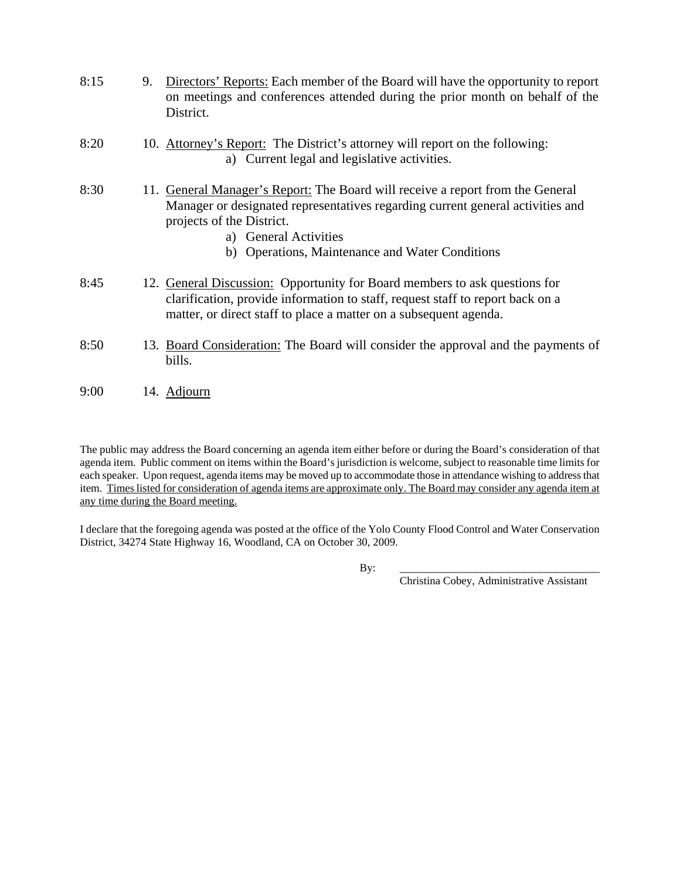| 8:15 | 9. Directors' Reports: Each member of the Board will have the opportunity to report |
|------|-------------------------------------------------------------------------------------|
|      | on meetings and conferences attended during the prior month on behalf of the        |
|      | District.                                                                           |
|      |                                                                                     |

- 8:20 10. Attorney's Report: The District's attorney will report on the following: a) Current legal and legislative activities.
- 8:30 11. General Manager's Report: The Board will receive a report from the General Manager or designated representatives regarding current general activities and projects of the District.
	- a) General Activities
	- b) Operations, Maintenance and Water Conditions
- 8:45 12. General Discussion: Opportunity for Board members to ask questions for clarification, provide information to staff, request staff to report back on a matter, or direct staff to place a matter on a subsequent agenda.
- 8:50 13. Board Consideration: The Board will consider the approval and the payments of bills.
- 9:00 14. Adjourn

The public may address the Board concerning an agenda item either before or during the Board's consideration of that agenda item. Public comment on items within the Board's jurisdiction is welcome, subject to reasonable time limits for each speaker. Upon request, agenda items may be moved up to accommodate those in attendance wishing to address that item. Times listed for consideration of agenda items are approximate only. The Board may consider any agenda item at any time during the Board meeting.

I declare that the foregoing agenda was posted at the office of the Yolo County Flood Control and Water Conservation District, 34274 State Highway 16, Woodland, CA on October 30, 2009.

By: \_\_\_\_\_\_\_\_\_\_\_\_\_\_\_\_\_\_\_\_\_\_\_\_\_\_\_\_\_\_\_\_\_\_\_\_\_

Christina Cobey, Administrative Assistant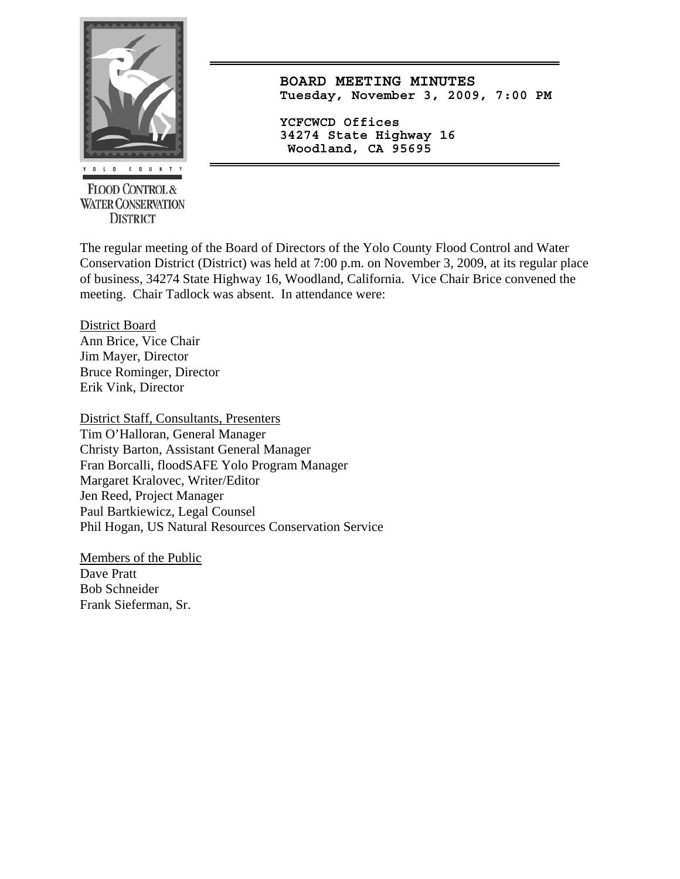

**FLOOD CONTROL & WATER CONSERVATION DISTRICT** 

**BOARD MEETING MINUTES Tuesday, November 3, 2009, 7:00 PM**

**YCFCWCD Offices 34274 State Highway 16 Woodland, CA 95695** 

The regular meeting of the Board of Directors of the Yolo County Flood Control and Water Conservation District (District) was held at 7:00 p.m. on November 3, 2009, at its regular place of business, 34274 State Highway 16, Woodland, California. Vice Chair Brice convened the meeting. Chair Tadlock was absent. In attendance were:

District Board Ann Brice, Vice Chair Jim Mayer, Director Bruce Rominger, Director Erik Vink, Director

District Staff, Consultants, Presenters Tim O'Halloran, General Manager Christy Barton, Assistant General Manager Fran Borcalli, floodSAFE Yolo Program Manager Margaret Kralovec, Writer/Editor Jen Reed, Project Manager Paul Bartkiewicz, Legal Counsel Phil Hogan, US Natural Resources Conservation Service

Members of the Public Dave Pratt Bob Schneider Frank Sieferman, Sr.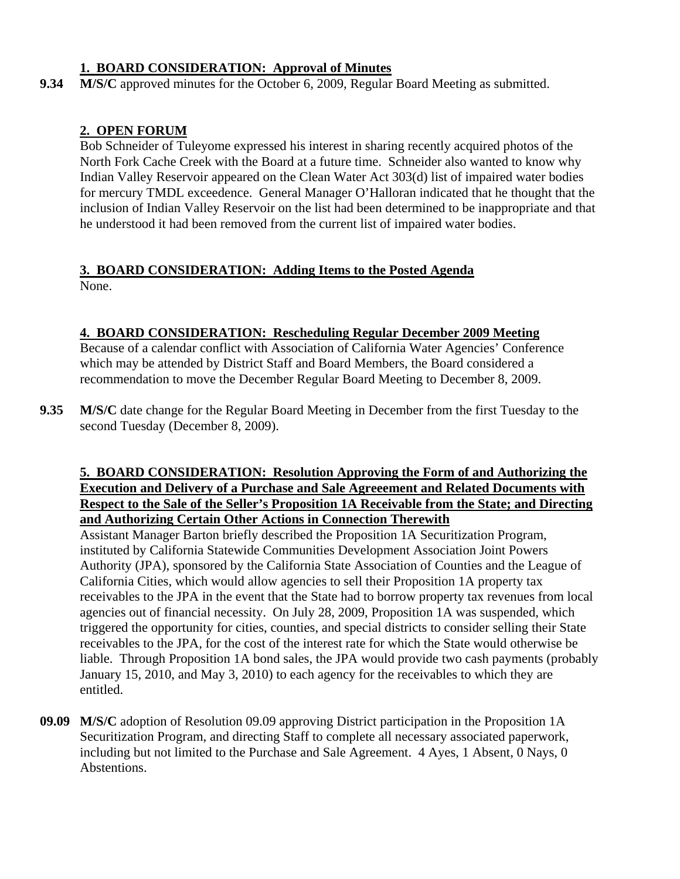### **1. BOARD CONSIDERATION: Approval of Minutes**

**9.34 M/S/C** approved minutes for the October 6, 2009, Regular Board Meeting as submitted.

### **2. OPEN FORUM**

Bob Schneider of Tuleyome expressed his interest in sharing recently acquired photos of the North Fork Cache Creek with the Board at a future time. Schneider also wanted to know why Indian Valley Reservoir appeared on the Clean Water Act 303(d) list of impaired water bodies for mercury TMDL exceedence. General Manager O'Halloran indicated that he thought that the inclusion of Indian Valley Reservoir on the list had been determined to be inappropriate and that he understood it had been removed from the current list of impaired water bodies.

# **3. BOARD CONSIDERATION: Adding Items to the Posted Agenda**

None.

### **4. BOARD CONSIDERATION: Rescheduling Regular December 2009 Meeting**

Because of a calendar conflict with Association of California Water Agencies' Conference which may be attended by District Staff and Board Members, the Board considered a recommendation to move the December Regular Board Meeting to December 8, 2009.

**9.35 M/S/C** date change for the Regular Board Meeting in December from the first Tuesday to the second Tuesday (December 8, 2009).

### **5. BOARD CONSIDERATION: Resolution Approving the Form of and Authorizing the Execution and Delivery of a Purchase and Sale Agreeement and Related Documents with Respect to the Sale of the Seller's Proposition 1A Receivable from the State; and Directing and Authorizing Certain Other Actions in Connection Therewith**

Assistant Manager Barton briefly described the Proposition 1A Securitization Program, instituted by California Statewide Communities Development Association Joint Powers Authority (JPA), sponsored by the California State Association of Counties and the League of California Cities, which would allow agencies to sell their Proposition 1A property tax receivables to the JPA in the event that the State had to borrow property tax revenues from local agencies out of financial necessity. On July 28, 2009, Proposition 1A was suspended, which triggered the opportunity for cities, counties, and special districts to consider selling their State receivables to the JPA, for the cost of the interest rate for which the State would otherwise be liable. Through Proposition 1A bond sales, the JPA would provide two cash payments (probably January 15, 2010, and May 3, 2010) to each agency for the receivables to which they are entitled.

**09.09 M/S/C** adoption of Resolution 09.09 approving District participation in the Proposition 1A Securitization Program, and directing Staff to complete all necessary associated paperwork, including but not limited to the Purchase and Sale Agreement. 4 Ayes, 1 Absent, 0 Nays, 0 Abstentions.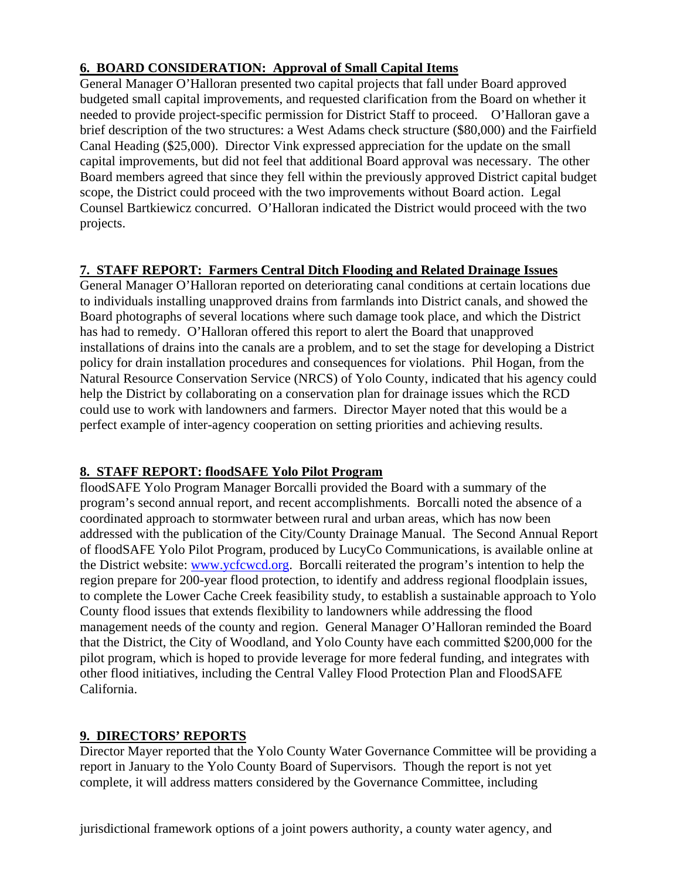### **6. BOARD CONSIDERATION: Approval of Small Capital Items**

General Manager O'Halloran presented two capital projects that fall under Board approved budgeted small capital improvements, and requested clarification from the Board on whether it needed to provide project-specific permission for District Staff to proceed. O'Halloran gave a brief description of the two structures: a West Adams check structure (\$80,000) and the Fairfield Canal Heading (\$25,000). Director Vink expressed appreciation for the update on the small capital improvements, but did not feel that additional Board approval was necessary. The other Board members agreed that since they fell within the previously approved District capital budget scope, the District could proceed with the two improvements without Board action. Legal Counsel Bartkiewicz concurred. O'Halloran indicated the District would proceed with the two projects.

### **7. STAFF REPORT: Farmers Central Ditch Flooding and Related Drainage Issues**

General Manager O'Halloran reported on deteriorating canal conditions at certain locations due to individuals installing unapproved drains from farmlands into District canals, and showed the Board photographs of several locations where such damage took place, and which the District has had to remedy. O'Halloran offered this report to alert the Board that unapproved installations of drains into the canals are a problem, and to set the stage for developing a District policy for drain installation procedures and consequences for violations. Phil Hogan, from the Natural Resource Conservation Service (NRCS) of Yolo County, indicated that his agency could help the District by collaborating on a conservation plan for drainage issues which the RCD could use to work with landowners and farmers. Director Mayer noted that this would be a perfect example of inter-agency cooperation on setting priorities and achieving results.

### **8. STAFF REPORT: floodSAFE Yolo Pilot Program**

floodSAFE Yolo Program Manager Borcalli provided the Board with a summary of the program's second annual report, and recent accomplishments. Borcalli noted the absence of a coordinated approach to stormwater between rural and urban areas, which has now been addressed with the publication of the City/County Drainage Manual. The Second Annual Report of floodSAFE Yolo Pilot Program, produced by LucyCo Communications, is available online at the District website: [www.ycfcwcd.org](http://www.ycfcwcd.org/). Borcalli reiterated the program's intention to help the region prepare for 200-year flood protection, to identify and address regional floodplain issues, to complete the Lower Cache Creek feasibility study, to establish a sustainable approach to Yolo County flood issues that extends flexibility to landowners while addressing the flood management needs of the county and region. General Manager O'Halloran reminded the Board that the District, the City of Woodland, and Yolo County have each committed \$200,000 for the pilot program, which is hoped to provide leverage for more federal funding, and integrates with other flood initiatives, including the Central Valley Flood Protection Plan and FloodSAFE California.

### **9. DIRECTORS' REPORTS**

Director Mayer reported that the Yolo County Water Governance Committee will be providing a report in January to the Yolo County Board of Supervisors. Though the report is not yet complete, it will address matters considered by the Governance Committee, including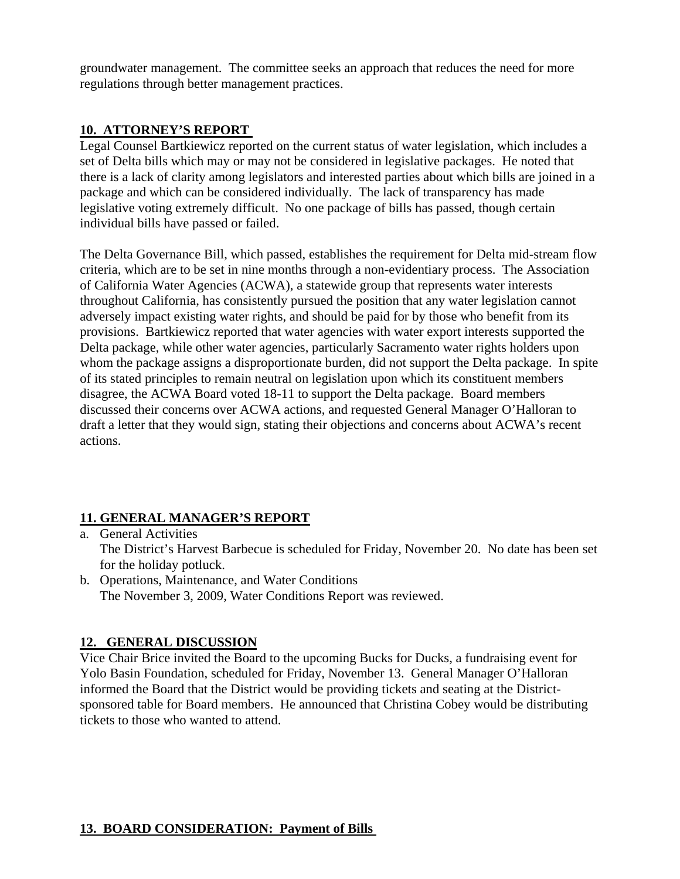groundwater management. The committee seeks an approach that reduces the need for more regulations through better management practices.

### **10. ATTORNEY'S REPORT**

Legal Counsel Bartkiewicz reported on the current status of water legislation, which includes a set of Delta bills which may or may not be considered in legislative packages. He noted that there is a lack of clarity among legislators and interested parties about which bills are joined in a package and which can be considered individually. The lack of transparency has made legislative voting extremely difficult. No one package of bills has passed, though certain individual bills have passed or failed.

The Delta Governance Bill, which passed, establishes the requirement for Delta mid-stream flow criteria, which are to be set in nine months through a non-evidentiary process. The Association of California Water Agencies (ACWA), a statewide group that represents water interests throughout California, has consistently pursued the position that any water legislation cannot adversely impact existing water rights, and should be paid for by those who benefit from its provisions. Bartkiewicz reported that water agencies with water export interests supported the Delta package, while other water agencies, particularly Sacramento water rights holders upon whom the package assigns a disproportionate burden, did not support the Delta package. In spite of its stated principles to remain neutral on legislation upon which its constituent members disagree, the ACWA Board voted 18-11 to support the Delta package. Board members discussed their concerns over ACWA actions, and requested General Manager O'Halloran to draft a letter that they would sign, stating their objections and concerns about ACWA's recent actions.

### **11. GENERAL MANAGER'S REPORT**

- a. General Activities The District's Harvest Barbecue is scheduled for Friday, November 20. No date has been set for the holiday potluck.
- b. Operations, Maintenance, and Water Conditions The November 3, 2009, Water Conditions Report was reviewed.

### **12. GENERAL DISCUSSION**

Vice Chair Brice invited the Board to the upcoming Bucks for Ducks, a fundraising event for Yolo Basin Foundation, scheduled for Friday, November 13. General Manager O'Halloran informed the Board that the District would be providing tickets and seating at the Districtsponsored table for Board members. He announced that Christina Cobey would be distributing tickets to those who wanted to attend.

### **13. BOARD CONSIDERATION: Payment of Bills**